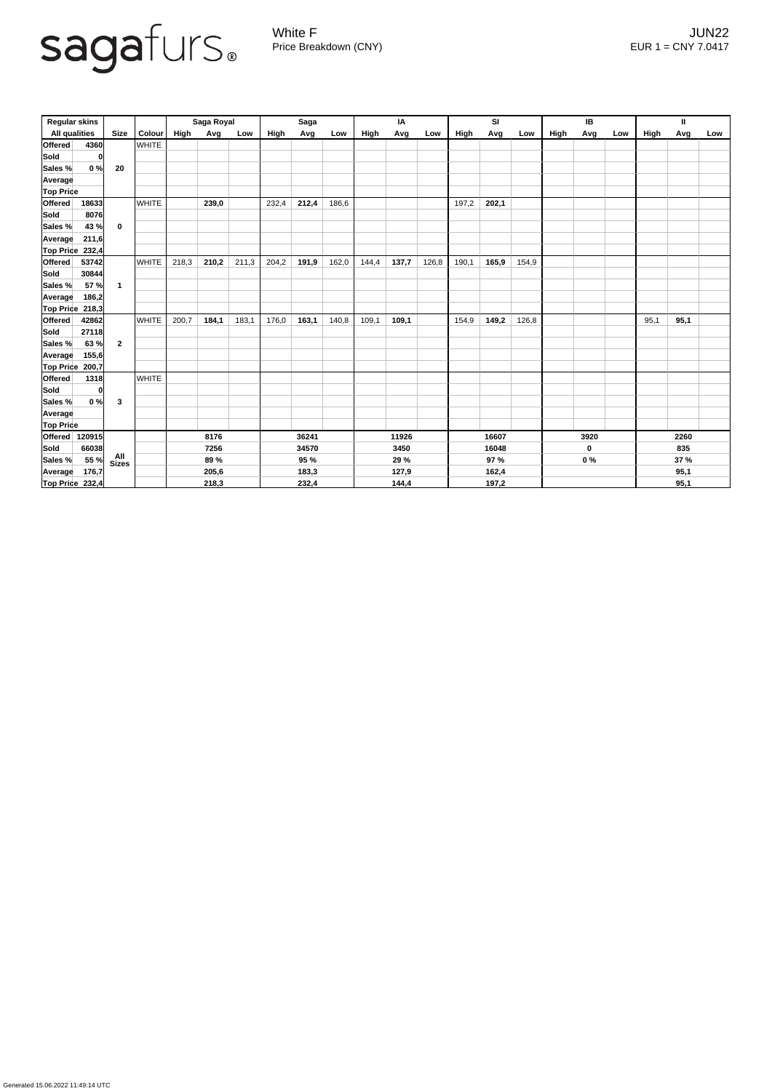

Generated 15.06.2022 11:49:14 UTC

White F JUN22 Price Breakdown (CNY) EUR 1 = CNY 7.0417

| <b>Regular skins</b>                |                 |                            | Saga Royal   |       |       | <b>Saga</b> |       |       | IA    |       |       | SI    |       |       | IB          |       |     | $\mathbf{H}$ |             |      |  |
|-------------------------------------|-----------------|----------------------------|--------------|-------|-------|-------------|-------|-------|-------|-------|-------|-------|-------|-------|-------------|-------|-----|--------------|-------------|------|--|
| <b>All qualities</b><br><b>Size</b> |                 | Colour                     | <b>High</b>  | Avg   | Low   | High        | Avg   | Low   | High  | Avg   | Low   | High  | Avg   | Low   | <b>High</b> | Avg   | Low | High         | Avg         | Low  |  |
| <b>Offered</b>                      | 4360            |                            | <b>WHITE</b> |       |       |             |       |       |       |       |       |       |       |       |             |       |     |              |             |      |  |
| Sold                                | 0               |                            |              |       |       |             |       |       |       |       |       |       |       |       |             |       |     |              |             |      |  |
| Sales %                             | 0%              | 20                         |              |       |       |             |       |       |       |       |       |       |       |       |             |       |     |              |             |      |  |
| <b>Average</b>                      |                 |                            |              |       |       |             |       |       |       |       |       |       |       |       |             |       |     |              |             |      |  |
| <b>Top Price</b>                    |                 |                            |              |       |       |             |       |       |       |       |       |       |       |       |             |       |     |              |             |      |  |
| <b>Offered</b>                      | 18633           |                            | <b>WHITE</b> |       | 239,0 |             | 232,4 | 212,4 | 186,6 |       |       |       | 197,2 | 202,1 |             |       |     |              |             |      |  |
| Sold                                | 8076            |                            |              |       |       |             |       |       |       |       |       |       |       |       |             |       |     |              |             |      |  |
| Sales %                             | 43 %            | $\mathbf 0$                |              |       |       |             |       |       |       |       |       |       |       |       |             |       |     |              |             |      |  |
| <b>Average</b>                      | 211,6           |                            |              |       |       |             |       |       |       |       |       |       |       |       |             |       |     |              |             |      |  |
| <b>Top Price</b>                    | 232,4           |                            |              |       |       |             |       |       |       |       |       |       |       |       |             |       |     |              |             |      |  |
| <b>Offered</b>                      | 53742           |                            | <b>WHITE</b> | 218,3 | 210,2 | 211,3       | 204,2 | 191,9 | 162,0 | 144,4 | 137,7 | 126,8 | 190,1 | 165,9 | 154,9       |       |     |              |             |      |  |
| Sold                                | 30844           |                            |              |       |       |             |       |       |       |       |       |       |       |       |             |       |     |              |             |      |  |
| Sales %                             | 57 %            | $\mathbf{1}$               |              |       |       |             |       |       |       |       |       |       |       |       |             |       |     |              |             |      |  |
| Average                             | 186,2           |                            |              |       |       |             |       |       |       |       |       |       |       |       |             |       |     |              |             |      |  |
|                                     | Top Price 218,3 |                            |              |       |       |             |       |       |       |       |       |       |       |       |             |       |     |              |             |      |  |
| <b>Offered</b>                      | 42862           |                            | <b>WHITE</b> | 200,7 | 184,1 | 183,1       | 176,0 | 163,1 | 140,8 | 109,1 | 109,1 |       | 154,9 | 149,2 | 126,8       |       |     |              | 95,1        | 95,1 |  |
| Sold                                | 27118           |                            |              |       |       |             |       |       |       |       |       |       |       |       |             |       |     |              |             |      |  |
| Sales %                             | 63 %            | $\overline{2}$             |              |       |       |             |       |       |       |       |       |       |       |       |             |       |     |              |             |      |  |
| <b>Average</b>                      | 155,6           |                            |              |       |       |             |       |       |       |       |       |       |       |       |             |       |     |              |             |      |  |
| <b>Top Price</b>                    | 200,7           |                            |              |       |       |             |       |       |       |       |       |       |       |       |             |       |     |              |             |      |  |
| <b>Offered</b>                      | 1318            |                            | <b>WHITE</b> |       |       |             |       |       |       |       |       |       |       |       |             |       |     |              |             |      |  |
| Sold                                | 0               |                            |              |       |       |             |       |       |       |       |       |       |       |       |             |       |     |              |             |      |  |
| Sales %                             | 0%              | $\mathbf{3}$               |              |       |       |             |       |       |       |       |       |       |       |       |             |       |     |              |             |      |  |
| Average                             |                 |                            |              |       |       |             |       |       |       |       |       |       |       |       |             |       |     |              |             |      |  |
| <b>Top Price</b>                    |                 |                            |              |       |       |             |       |       |       |       |       |       |       |       |             |       |     |              |             |      |  |
|                                     | Offered 120915  |                            |              | 8176  |       | 36241       |       |       | 11926 |       |       | 16607 |       |       | 3920        |       |     | 2260         |             |      |  |
| Sold                                | 66038           |                            |              | 7256  |       | 34570       |       |       | 3450  |       |       | 16048 |       |       | $\mathbf 0$ |       | 835 |              |             |      |  |
| Sales %                             | 55 %            | <b>All</b><br><b>Sizes</b> |              | 89 %  |       |             | 95 %  |       |       | 29 %  |       |       | 97 %  |       |             | $0\%$ |     |              | <b>37 %</b> |      |  |
| Average                             | 176,7           |                            |              |       | 205,6 |             |       | 183,3 |       |       | 127,9 |       |       | 162,4 |             |       |     |              |             | 95,1 |  |
|                                     | Top Price 232,4 |                            |              | 218,3 |       |             | 232,4 |       |       | 144,4 |       |       | 197,2 |       |             |       |     |              |             | 95,1 |  |